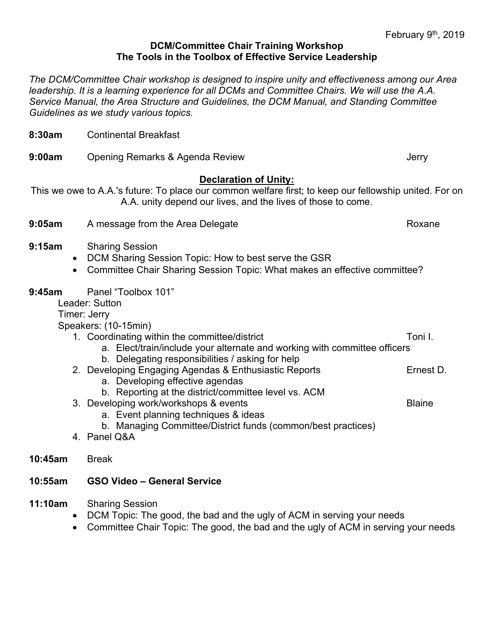## **DCM/Committee Chair Training Workshop The Tools in the Toolbox of Effective Service Leadership**

*The DCM/Committee Chair workshop is designed to inspire unity and effectiveness among our Area leadership. It is a learning experience for all DCMs and Committee Chairs. We will use the A.A. Service Manual, the Area Structure and Guidelines, the DCM Manual, and Standing Committee Guidelines as we study various topics.*

**8:30am** Continental Breakfast **9:00am** Opening Remarks & Agenda Review **Veryon Agent Control** Derry

## **Declaration of Unity:**

This we owe to A.A.'s future: To place our common welfare first; to keep our fellowship united. For on A.A. unity depend our lives, and the lives of those to come.

- **9:05am** A message from the Area Delegate **Roxane** Roxane
- **9:15am** Sharing Session
	- DCM Sharing Session Topic: How to best serve the GSR
	- Committee Chair Sharing Session Topic: What makes an effective committee?
- **9:45am** Panel "Toolbox 101"

Leader: Sutton

Timer: Jerry

Speakers: (10-15min)

- 1. Coordinating within the committee/district Tomillary Constanting Toni I.
	- a. Elect/train/include your alternate and working with committee officers
	- b. Delegating responsibilities / asking for help
- 2. Developing Engaging Agendas & Enthusiastic Reports Ernest D.
	- a. Developing effective agendas
	- b. Reporting at the district/committee level vs. ACM
- 3. Developing work/workshops & events Blaine
	- a. Event planning techniques & ideas
	- b. Managing Committee/District funds (common/best practices)
- 4. Panel Q&A
- **10:45am** Break

## **10:55am GSO Video – General Service**

- **11:10am** Sharing Session
	- DCM Topic: The good, the bad and the ugly of ACM in serving your needs
	- Committee Chair Topic: The good, the bad and the ugly of ACM in serving your needs